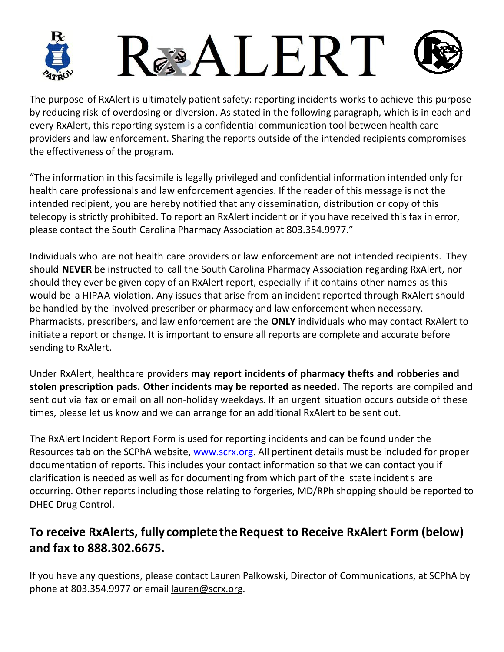

The purpose of RxAlert is ultimately patient safety: reporting incidents works to achieve this purpose by reducing risk of overdosing or diversion. As stated in the following paragraph, which is in each and every RxAlert, this reporting system is a confidential communication tool between health care providers and law enforcement. Sharing the reports outside of the intended recipients compromises the effectiveness of the program.

"The information in this facsimile is legally privileged and confidential information intended only for health care professionals and law enforcement agencies. If the reader of this message is not the intended recipient, you are hereby notified that any dissemination, distribution or copy of this telecopy is strictly prohibited. To report an RxAlert incident or if you have received this fax in error, please contact the South Carolina Pharmacy Association at 803.354.9977."

Individuals who are not health care providers or law enforcement are not intended recipients. They should **NEVER** be instructed to call the South Carolina Pharmacy Association regarding RxAlert, nor should they ever be given copy of an RxAlert report, especially if it contains other names as this would be a HIPAA violation. Any issues that arise from an incident reported through RxAlert should be handled by the involved prescriber or pharmacy and law enforcement when necessary. Pharmacists, prescribers, and law enforcement are the **ONLY** individuals who may contact RxAlert to initiate a report or change. It is important to ensure all reports are complete and accurate before sending to RxAlert.

Under RxAlert, healthcare providers **may report incidents of pharmacy thefts and robberies and stolen prescription pads. Other incidents may be reported as needed.** The reports are compiled and sent out via fax or email on all non-holiday weekdays. If an urgent situation occurs outside of these times, please let us know and we can arrange for an additional RxAlert to be sent out.

The RxAlert Incident Report Form is used for reporting incidents and can be found under the Resources tab on the SCPhA website, www.scrx.org. All pertinent details must be included for proper documentation of reports. This includes your contact information so that we can contact you if clarification is needed as well as for documenting from which part of the state incident s are occurring. Other reports including those relating to forgeries, MD/RPh shopping should be reported to DHEC Drug Control.

## **To receive RxAlerts, fully complete the Request to Receive RxAlert Form (below) and fax to 888.302.6675.**

If you have any questions, please contact Lauren Palkowski, Director of Communications, at SCPhA by phone at 803.354.9977 or email lauren@scrx.org.